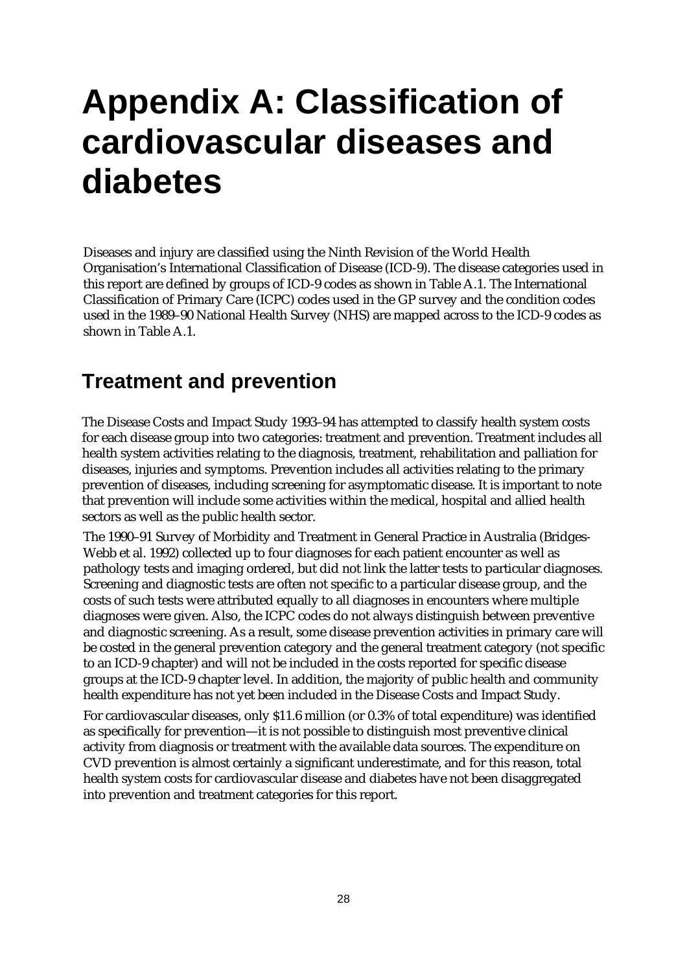# **Appendix A: Classification of cardiovascular diseases and diabetes**

Diseases and injury are classified using the Ninth Revision of the World Health Organisation's International Classification of Disease (ICD-9). The disease categories used in this report are defined by groups of ICD-9 codes as shown in Table A.1. The International Classification of Primary Care (ICPC) codes used in the GP survey and the condition codes used in the 1989–90 National Health Survey (NHS) are mapped across to the ICD-9 codes as shown in Table A.1.

### **Treatment and prevention**

The Disease Costs and Impact Study 1993–94 has attempted to classify health system costs for each disease group into two categories: treatment and prevention. Treatment includes all health system activities relating to the diagnosis, treatment, rehabilitation and palliation for diseases, injuries and symptoms. Prevention includes all activities relating to the primary prevention of diseases, including screening for asymptomatic disease. It is important to note that prevention will include some activities within the medical, hospital and allied health sectors as well as the public health sector.

The 1990–91 Survey of Morbidity and Treatment in General Practice in Australia (Bridges-Webb et al. 1992) collected up to four diagnoses for each patient encounter as well as pathology tests and imaging ordered, but did not link the latter tests to particular diagnoses. Screening and diagnostic tests are often not specific to a particular disease group, and the costs of such tests were attributed equally to all diagnoses in encounters where multiple diagnoses were given. Also, the ICPC codes do not always distinguish between preventive and diagnostic screening. As a result, some disease prevention activities in primary care will be costed in the general prevention category and the general treatment category (not specific to an ICD-9 chapter) and will not be included in the costs reported for specific disease groups at the ICD-9 chapter level. In addition, the majority of public health and community health expenditure has not yet been included in the Disease Costs and Impact Study.

For cardiovascular diseases, only \$11.6 million (or 0.3% of total expenditure) was identified as specifically for prevention—it is not possible to distinguish most preventive clinical activity from diagnosis or treatment with the available data sources. The expenditure on CVD prevention is almost certainly a significant underestimate, and for this reason, total health system costs for cardiovascular disease and diabetes have not been disaggregated into prevention and treatment categories for this report.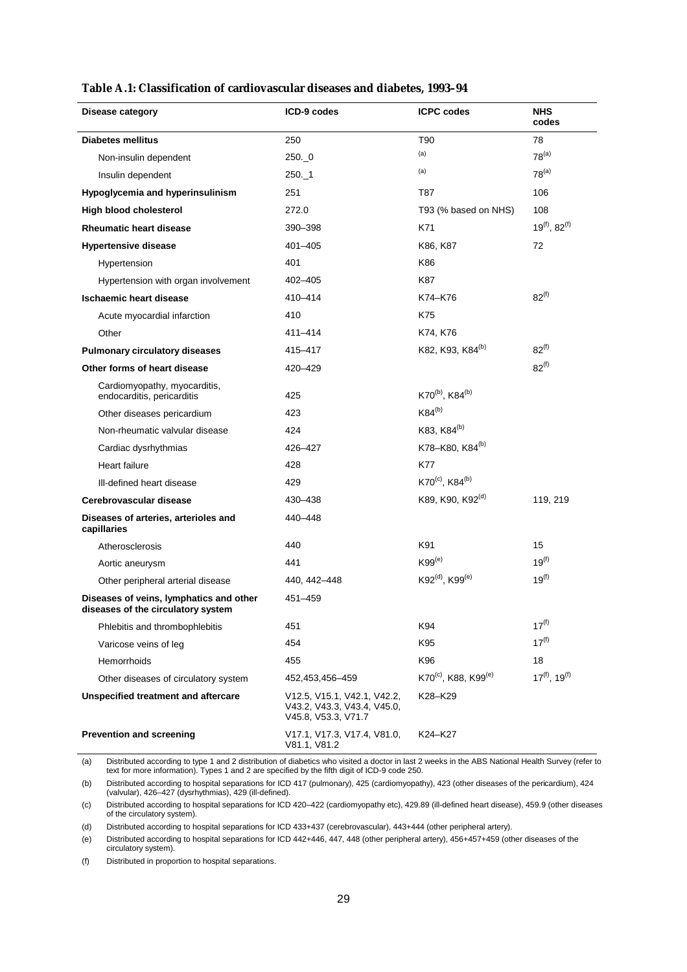| Disease category                                                              | ICD-9 codes                                                                       | <b>ICPC</b> codes                            | <b>NHS</b><br>codes            |
|-------------------------------------------------------------------------------|-----------------------------------------------------------------------------------|----------------------------------------------|--------------------------------|
| <b>Diabetes mellitus</b>                                                      | 250                                                                               | T90                                          | 78                             |
| Non-insulin dependent                                                         | 250.0                                                                             | (a)                                          | $78^{(a)}$                     |
| Insulin dependent                                                             | 250. 1                                                                            | (a)                                          | $78^{(a)}$                     |
| Hypoglycemia and hyperinsulinism                                              | 251                                                                               | T87                                          | 106                            |
| High blood cholesterol                                                        | 272.0                                                                             | T93 (% based on NHS)                         | 108                            |
| <b>Rheumatic heart disease</b>                                                | 390-398                                                                           | K71                                          | $19^{(f)}$ , 82 <sup>(f)</sup> |
| <b>Hypertensive disease</b>                                                   | $401 - 405$                                                                       | K86, K87                                     | 72                             |
| Hypertension                                                                  | 401                                                                               | K86                                          |                                |
| Hypertension with organ involvement                                           | 402-405                                                                           | K87                                          |                                |
| Ischaemic heart disease                                                       | 410-414                                                                           | K74-K76                                      | $82^{(f)}$                     |
| Acute myocardial infarction                                                   | 410                                                                               | K75                                          |                                |
| Other                                                                         | 411-414                                                                           | K74, K76                                     |                                |
| <b>Pulmonary circulatory diseases</b>                                         | 415-417                                                                           | K82, K93, K84 <sup>(b)</sup>                 | $82^{(f)}$                     |
| Other forms of heart disease                                                  | 420-429                                                                           |                                              | $82^{(f)}$                     |
| Cardiomyopathy, myocarditis,<br>endocarditis, pericarditis                    | 425                                                                               | K70 <sup>(b)</sup> , K84 <sup>(b)</sup>      |                                |
| Other diseases pericardium                                                    | 423                                                                               | $K84^{(b)}$                                  |                                |
| Non-rheumatic valvular disease                                                | 424                                                                               | K83, K84 <sup>(b)</sup>                      |                                |
| Cardiac dysrhythmias                                                          | 426-427                                                                           | K78-K80, K84 <sup>(b)</sup>                  |                                |
| Heart failure                                                                 | 428                                                                               | K77                                          |                                |
| Ill-defined heart disease                                                     | 429                                                                               | K70 <sup>(c)</sup> , K84 <sup>(b)</sup>      |                                |
| Cerebrovascular disease                                                       | 430-438                                                                           | K89, K90, K92 <sup>(d)</sup>                 | 119, 219                       |
| Diseases of arteries, arterioles and<br>capillaries                           | 440-448                                                                           |                                              |                                |
| Atherosclerosis                                                               | 440                                                                               | K91                                          | 15                             |
| Aortic aneurysm                                                               | 441                                                                               | $K99^{(e)}$                                  | $19^{(f)}$                     |
| Other peripheral arterial disease                                             | 440, 442-448                                                                      | K92 <sup>(d)</sup> , K99 <sup>(e)</sup>      | $19^{(f)}$                     |
| Diseases of veins, lymphatics and other<br>diseases of the circulatory system | 451-459                                                                           |                                              |                                |
| Phlebitis and thrombophlebitis                                                | 451                                                                               | K94                                          | $17^{(f)}$                     |
| Varicose veins of leg                                                         | 454                                                                               | K95                                          | $17^{(f)}$                     |
| Hemorrhoids                                                                   | 455                                                                               | K96                                          | 18                             |
| Other diseases of circulatory system                                          | 452,453,456-459                                                                   | K70 <sup>(c)</sup> , K88, K99 <sup>(e)</sup> | $17^{(f)}$ , $19^{(f)}$        |
| <b>Unspecified treatment and aftercare</b>                                    | V12.5, V15.1, V42.1, V42.2,<br>V43.2, V43.3, V43.4, V45.0,<br>V45.8, V53.3, V71.7 | K28-K29                                      |                                |
| <b>Prevention and screening</b>                                               | V17.1, V17.3, V17.4, V81.0,<br>V81.1, V81.2                                       | K24-K27                                      |                                |

#### **Table A.1: Classification of cardiovascular diseases and diabetes, 1993–94**

(a) Distributed according to type 1 and 2 distribution of diabetics who visited a doctor in last 2 weeks in the ABS National Health Survey (refer to text for more information). Types 1 and 2 are specified by the fifth digit of ICD-9 code 250.

(b) Distributed according to hospital separations for ICD 417 (pulmonary), 425 (cardiomyopathy), 423 (other diseases of the pericardium), 424 (valvular), 426–427 (dysrhythmias), 429 (ill-defined).

(c) Distributed according to hospital separations for ICD 420–422 (cardiomyopathy etc), 429.89 (ill-defined heart disease), 459.9 (other diseases of the circulatory system).

(d) Distributed according to hospital separations for ICD 433+437 (cerebrovascular), 443+444 (other peripheral artery).

(e) Distributed according to hospital separations for ICD 442+446, 447, 448 (other peripheral artery), 456+457+459 (other diseases of the circulatory system).

(f) Distributed in proportion to hospital separations.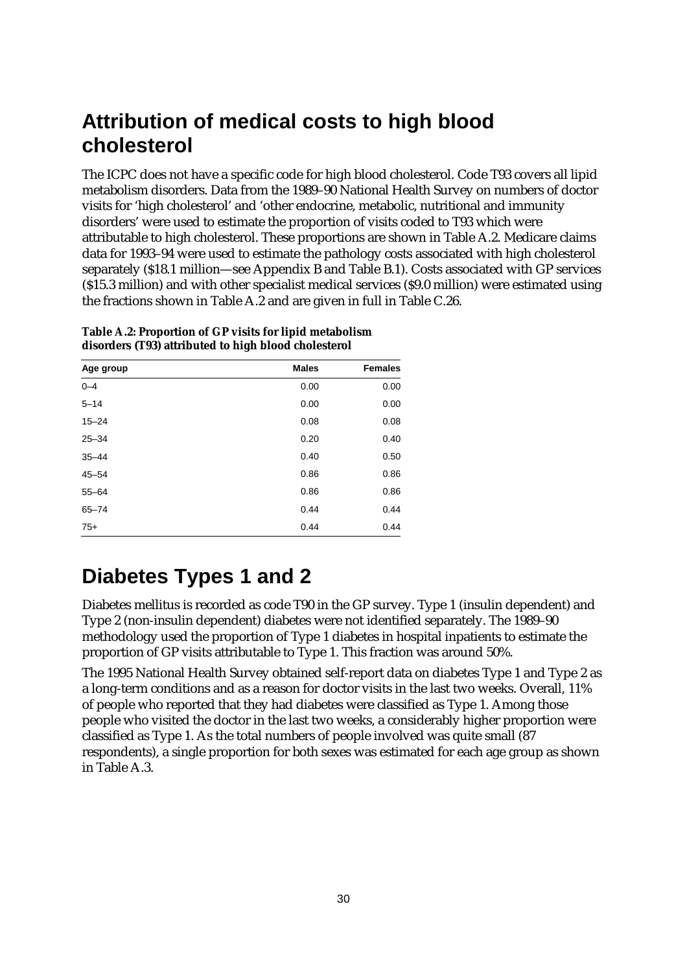## **Attribution of medical costs to high blood cholesterol**

The ICPC does not have a specific code for high blood cholesterol. Code T93 covers all lipid metabolism disorders. Data from the 1989–90 National Health Survey on numbers of doctor visits for 'high cholesterol' and 'other endocrine, metabolic, nutritional and immunity disorders' were used to estimate the proportion of visits coded to T93 which were attributable to high cholesterol. These proportions are shown in Table A.2. Medicare claims data for 1993–94 were used to estimate the pathology costs associated with high cholesterol separately (\$18.1 million—see Appendix B and Table B.1). Costs associated with GP services (\$15.3 million) and with other specialist medical services (\$9.0 million) were estimated using the fractions shown in Table A.2 and are given in full in Table C.26.

| Age group | <b>Males</b> | <b>Females</b> |
|-----------|--------------|----------------|
| $0 - 4$   | 0.00         | 0.00           |
| $5 - 14$  | 0.00         | 0.00           |
| $15 - 24$ | 0.08         | 0.08           |
| $25 - 34$ | 0.20         | 0.40           |
| $35 - 44$ | 0.40         | 0.50           |
| $45 - 54$ | 0.86         | 0.86           |
| $55 - 64$ | 0.86         | 0.86           |
| $65 - 74$ | 0.44         | 0.44           |
| $75+$     | 0.44         | 0.44           |

**Table A.2: Proportion of GP visits for lipid metabolism disorders (T93) attributed to high blood cholesterol**

# **Diabetes Types 1 and 2**

Diabetes mellitus is recorded as code T90 in the GP survey. Type 1 (insulin dependent) and Type 2 (non-insulin dependent) diabetes were not identified separately. The 1989–90 methodology used the proportion of Type 1 diabetes in hospital inpatients to estimate the proportion of GP visits attributable to Type 1. This fraction was around 50%.

The 1995 National Health Survey obtained self-report data on diabetes Type 1 and Type 2 as a long-term conditions and as a reason for doctor visits in the last two weeks. Overall, 11% of people who reported that they had diabetes were classified as Type 1. Among those people who visited the doctor in the last two weeks, a considerably higher proportion were classified as Type 1. As the total numbers of people involved was quite small (87 respondents), a single proportion for both sexes was estimated for each age group as shown in Table A.3.